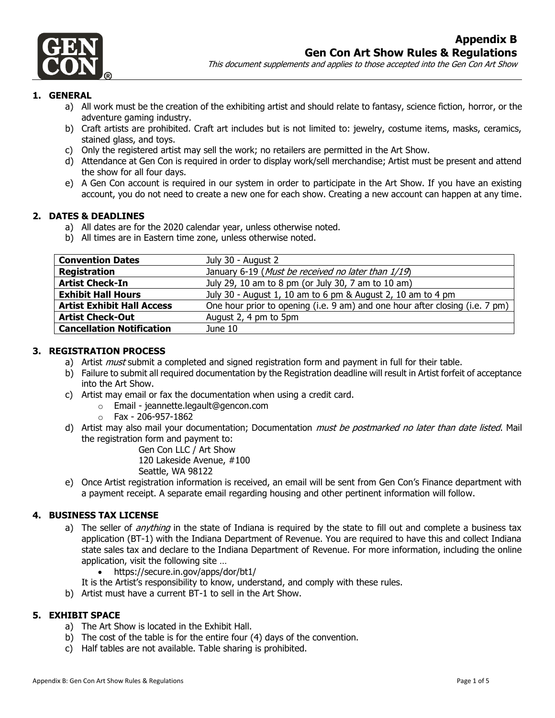

## **1. GENERAL**

- a) All work must be the creation of the exhibiting artist and should relate to fantasy, science fiction, horror, or the adventure gaming industry.
- b) Craft artists are prohibited. Craft art includes but is not limited to: jewelry, costume items, masks, ceramics, stained glass, and toys.
- c) Only the registered artist may sell the work; no retailers are permitted in the Art Show.
- d) Attendance at Gen Con is required in order to display work/sell merchandise; Artist must be present and attend the show for all four days.
- e) A Gen Con account is required in our system in order to participate in the Art Show. If you have an existing account, you do not need to create a new one for each show. Creating a new account can happen at any time.

### **2. DATES & DEADLINES**

- a) All dates are for the 2020 calendar year, unless otherwise noted.
- b) All times are in Eastern time zone, unless otherwise noted.

| <b>Convention Dates</b>           | July 30 - August 2                                                           |
|-----------------------------------|------------------------------------------------------------------------------|
| <b>Registration</b>               | January 6-19 (Must be received no later than 1/19)                           |
| <b>Artist Check-In</b>            | July 29, 10 am to 8 pm (or July 30, 7 am to 10 am)                           |
| <b>Exhibit Hall Hours</b>         | July 30 - August 1, 10 am to 6 pm & August 2, 10 am to 4 pm                  |
| <b>Artist Exhibit Hall Access</b> | One hour prior to opening (i.e. 9 am) and one hour after closing (i.e. 7 pm) |
| <b>Artist Check-Out</b>           | August 2, 4 pm to 5pm                                                        |
| <b>Cancellation Notification</b>  | June 10                                                                      |

### **3. REGISTRATION PROCESS**

- a) Artist *must* submit a completed and signed registration form and payment in full for their table.
- b) Failure to submit all required documentation by the Registration deadline will result in Artist forfeit of acceptance into the Art Show.
- c) Artist may email or fax the documentation when using a credit card.
	- o Email jeannette.legault@gencon.com
	- $\circ$  Fax 206-957-1862
- d) Artist may also mail your documentation; Documentation *must be postmarked no later than date listed*. Mail the registration form and payment to:

Gen Con LLC / Art Show

120 Lakeside Avenue, #100

Seattle, WA 98122

e) Once Artist registration information is received, an email will be sent from Gen Con's Finance department with a payment receipt. A separate email regarding housing and other pertinent information will follow.

### **4. BUSINESS TAX LICENSE**

- a) The seller of *anything* in the state of Indiana is required by the state to fill out and complete a business tax application (BT-1) with the Indiana Department of Revenue. You are required to have this and collect Indiana state sales tax and declare to the Indiana Department of Revenue. For more information, including the online application, visit the following site …
	- https://secure.in.gov/apps/dor/bt1/
- It is the Artist's responsibility to know, understand, and comply with these rules.
- b) Artist must have a current BT-1 to sell in the Art Show.

#### **5. EXHIBIT SPACE**

- a) The Art Show is located in the Exhibit Hall.
- b) The cost of the table is for the entire four (4) days of the convention.
- c) Half tables are not available. Table sharing is prohibited.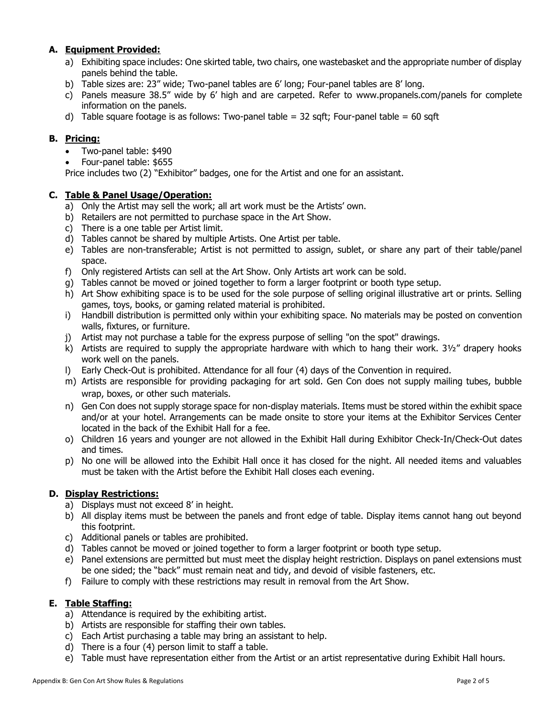# **A. Equipment Provided:**

- a) Exhibiting space includes: One skirted table, two chairs, one wastebasket and the appropriate number of display panels behind the table.
- b) Table sizes are: 23" wide; Two-panel tables are 6' long; Four-panel tables are 8' long.
- c) Panels measure 38.5" wide by 6' high and are carpeted. Refer to [www.propanels.com/](http://www.propanels.com/)panels for complete information on the panels.
- d) Table square footage is as follows: Two-panel table =  $32$  sqft; Four-panel table =  $60$  sqft

## **B. Pricing:**

- Two-panel table: \$490
- Four-panel table: \$655

Price includes two (2) "Exhibitor" badges, one for the Artist and one for an assistant.

### **C. Table & Panel Usage/Operation:**

- a) Only the Artist may sell the work; all art work must be the Artists' own.
- b) Retailers are not permitted to purchase space in the Art Show.
- c) There is a one table per Artist limit.
- d) Tables cannot be shared by multiple Artists. One Artist per table.
- e) Tables are non-transferable; Artist is not permitted to assign, sublet, or share any part of their table/panel space.
- f) Only registered Artists can sell at the Art Show. Only Artists art work can be sold.
- g) Tables cannot be moved or joined together to form a larger footprint or booth type setup.
- h) Art Show exhibiting space is to be used for the sole purpose of selling original illustrative art or prints. Selling games, toys, books, or gaming related material is prohibited.
- i) Handbill distribution is permitted only within your exhibiting space. No materials may be posted on convention walls, fixtures, or furniture.
- j) Artist may not purchase a table for the express purpose of selling "on the spot" drawings.
- k) Artists are required to supply the appropriate hardware with which to hang their work.  $3\frac{1}{2}$ " drapery hooks work well on the panels.
- l) Early Check-Out is prohibited. Attendance for all four (4) days of the Convention in required.
- m) Artists are responsible for providing packaging for art sold. Gen Con does not supply mailing tubes, bubble wrap, boxes, or other such materials.
- n) Gen Con does not supply storage space for non-display materials. Items must be stored within the exhibit space and/or at your hotel. Arrangements can be made onsite to store your items at the Exhibitor Services Center located in the back of the Exhibit Hall for a fee.
- o) Children 16 years and younger are not allowed in the Exhibit Hall during Exhibitor Check-In/Check-Out dates and times.
- p) No one will be allowed into the Exhibit Hall once it has closed for the night. All needed items and valuables must be taken with the Artist before the Exhibit Hall closes each evening.

### **D. Display Restrictions:**

- a) Displays must not exceed 8' in height.
- b) All display items must be between the panels and front edge of table. Display items cannot hang out beyond this footprint.
- c) Additional panels or tables are prohibited.
- d) Tables cannot be moved or joined together to form a larger footprint or booth type setup.
- e) Panel extensions are permitted but must meet the display height restriction. Displays on panel extensions must be one sided; the "back" must remain neat and tidy, and devoid of visible fasteners, etc.
- f) Failure to comply with these restrictions may result in removal from the Art Show.

### **E. Table Staffing:**

- a) Attendance is required by the exhibiting artist.
- b) Artists are responsible for staffing their own tables.
- c) Each Artist purchasing a table may bring an assistant to help.
- d) There is a four (4) person limit to staff a table.
- e) Table must have representation either from the Artist or an artist representative during Exhibit Hall hours.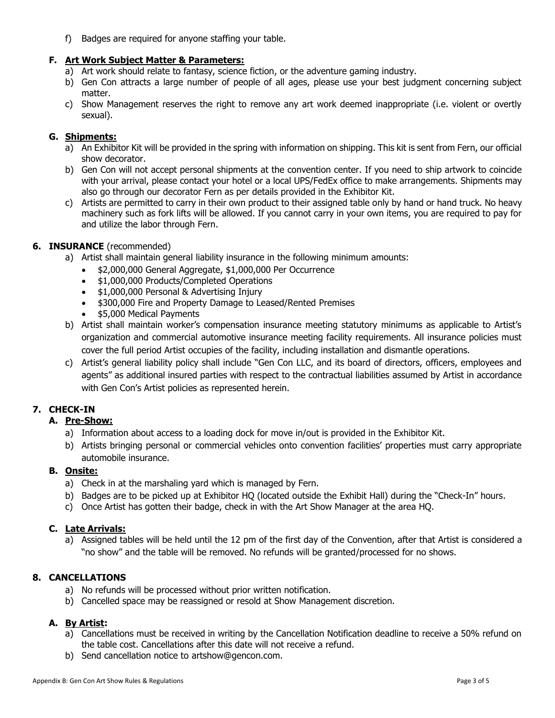f) Badges are required for anyone staffing your table.

# **F. Art Work Subject Matter & Parameters:**

- a) Art work should relate to fantasy, science fiction, or the adventure gaming industry.
- b) Gen Con attracts a large number of people of all ages, please use your best judgment concerning subject matter.
- c) Show Management reserves the right to remove any art work deemed inappropriate (i.e. violent or overtly sexual).

## **G. Shipments:**

- a) An Exhibitor Kit will be provided in the spring with information on shipping. This kit is sent from Fern, our official show decorator.
- b) Gen Con will not accept personal shipments at the convention center. If you need to ship artwork to coincide with your arrival, please contact your hotel or a local UPS/FedEx office to make arrangements. Shipments may also go through our decorator Fern as per details provided in the Exhibitor Kit.
- c) Artists are permitted to carry in their own product to their assigned table only by hand or hand truck. No heavy machinery such as fork lifts will be allowed. If you cannot carry in your own items, you are required to pay for and utilize the labor through Fern.

## **6. INSURANCE** (recommended)

- a) Artist shall maintain general liability insurance in the following minimum amounts:
	- \$2,000,000 General Aggregate, \$1,000,000 Per Occurrence
	- \$1,000,000 Products/Completed Operations
	- \$1,000,000 Personal & Advertising Injury
	- \$300,000 Fire and Property Damage to Leased/Rented Premises
	- \$5,000 Medical Payments
- b) Artist shall maintain worker's compensation insurance meeting statutory minimums as applicable to Artist's organization and commercial automotive insurance meeting facility requirements. All insurance policies must cover the full period Artist occupies of the facility, including installation and dismantle operations.
- c) Artist's general liability policy shall include "Gen Con LLC, and its board of directors, officers, employees and agents" as additional insured parties with respect to the contractual liabilities assumed by Artist in accordance with Gen Con's Artist policies as represented herein.

# **7. CHECK-IN**

# **A. Pre-Show:**

- a) Information about access to a loading dock for move in/out is provided in the Exhibitor Kit.
- b) Artists bringing personal or commercial vehicles onto convention facilities' properties must carry appropriate automobile insurance.

# **B. Onsite:**

- a) Check in at the marshaling yard which is managed by Fern.
- b) Badges are to be picked up at Exhibitor HQ (located outside the Exhibit Hall) during the "Check-In" hours.
- c) Once Artist has gotten their badge, check in with the Art Show Manager at the area HQ.

# **C. Late Arrivals:**

a) Assigned tables will be held until the 12 pm of the first day of the Convention, after that Artist is considered a "no show" and the table will be removed. No refunds will be granted/processed for no shows.

# **8. CANCELLATIONS**

- a) No refunds will be processed without prior written notification.
- b) Cancelled space may be reassigned or resold at Show Management discretion.

# **A. By Artist:**

- a) Cancellations must be received in writing by the Cancellation Notification deadline to receive a 50% refund on the table cost. Cancellations after this date will not receive a refund.
- b) Send cancellation notice to artshow@gencon.com.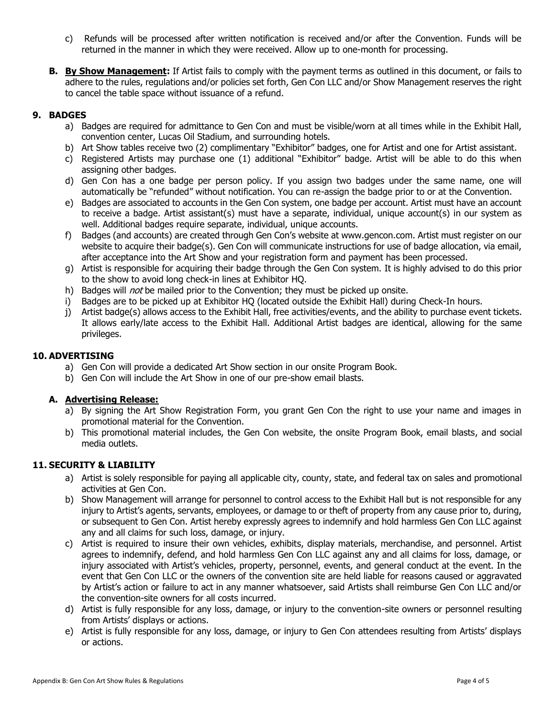- c) Refunds will be processed after written notification is received and/or after the Convention. Funds will be returned in the manner in which they were received. Allow up to one-month for processing.
- **B. By Show Management:** If Artist fails to comply with the payment terms as outlined in this document, or fails to adhere to the rules, regulations and/or policies set forth, Gen Con LLC and/or Show Management reserves the right to cancel the table space without issuance of a refund.

# **9. BADGES**

- a) Badges are required for admittance to Gen Con and must be visible/worn at all times while in the Exhibit Hall, convention center, Lucas Oil Stadium, and surrounding hotels.
- b) Art Show tables receive two (2) complimentary "Exhibitor" badges, one for Artist and one for Artist assistant.
- c) Registered Artists may purchase one (1) additional "Exhibitor" badge. Artist will be able to do this when assigning other badges.
- d) Gen Con has a one badge per person policy. If you assign two badges under the same name, one will automatically be "refunded" without notification. You can re-assign the badge prior to or at the Convention.
- e) Badges are associated to accounts in the Gen Con system, one badge per account. Artist must have an account to receive a badge. Artist assistant(s) must have a separate, individual, unique account(s) in our system as well. Additional badges require separate, individual, unique accounts.
- f) Badges (and accounts) are created through Gen Con's website at www.gencon.com. Artist must register on our website to acquire their badge(s). Gen Con will communicate instructions for use of badge allocation, via email, after acceptance into the Art Show and your registration form and payment has been processed.
- g) Artist is responsible for acquiring their badge through the Gen Con system. It is highly advised to do this prior to the show to avoid long check-in lines at Exhibitor HQ.
- h) Badges will *not* be mailed prior to the Convention; they must be picked up onsite.
- i) Badges are to be picked up at Exhibitor HQ (located outside the Exhibit Hall) during Check-In hours.
- j) Artist badge(s) allows access to the Exhibit Hall, free activities/events, and the ability to purchase event tickets. It allows early/late access to the Exhibit Hall. Additional Artist badges are identical, allowing for the same privileges.

### **10. ADVERTISING**

- a) Gen Con will provide a dedicated Art Show section in our onsite Program Book.
- b) Gen Con will include the Art Show in one of our pre-show email blasts.

### **A. Advertising Release:**

- a) By signing the Art Show Registration Form, you grant Gen Con the right to use your name and images in promotional material for the Convention.
- b) This promotional material includes, the Gen Con website, the onsite Program Book, email blasts, and social media outlets.

### **11. SECURITY & LIABILITY**

- a) Artist is solely responsible for paying all applicable city, county, state, and federal tax on sales and promotional activities at Gen Con.
- b) Show Management will arrange for personnel to control access to the Exhibit Hall but is not responsible for any injury to Artist's agents, servants, employees, or damage to or theft of property from any cause prior to, during, or subsequent to Gen Con. Artist hereby expressly agrees to indemnify and hold harmless Gen Con LLC against any and all claims for such loss, damage, or injury.
- c) Artist is required to insure their own vehicles, exhibits, display materials, merchandise, and personnel. Artist agrees to indemnify, defend, and hold harmless Gen Con LLC against any and all claims for loss, damage, or injury associated with Artist's vehicles, property, personnel, events, and general conduct at the event. In the event that Gen Con LLC or the owners of the convention site are held liable for reasons caused or aggravated by Artist's action or failure to act in any manner whatsoever, said Artists shall reimburse Gen Con LLC and/or the convention-site owners for all costs incurred.
- d) Artist is fully responsible for any loss, damage, or injury to the convention-site owners or personnel resulting from Artists' displays or actions.
- e) Artist is fully responsible for any loss, damage, or injury to Gen Con attendees resulting from Artists' displays or actions.